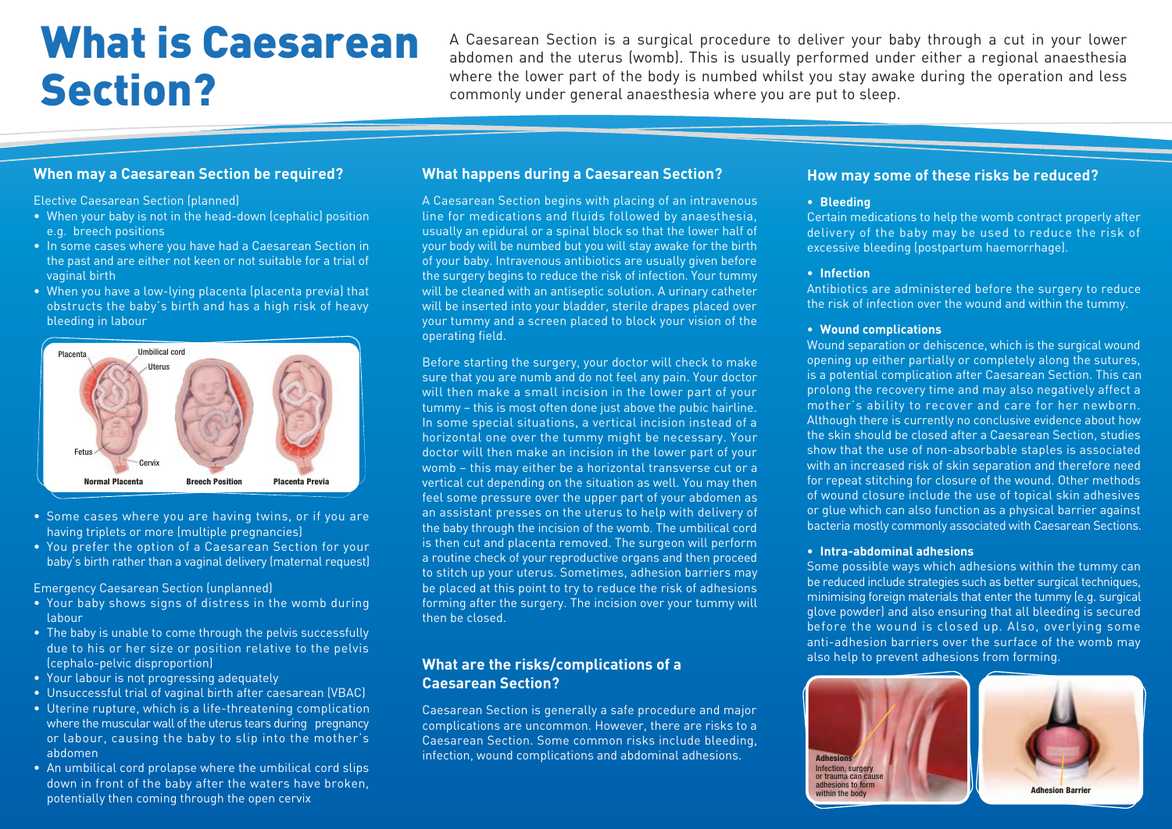# What is Caesarean Section?

A Caesarean Section is a surgical procedure to deliver your baby through a cut in your lower abdomen and the uterus (womb). This is usually performed under either a regional anaesthesia where the lower part of the body is numbed whilst you stay awake during the operation and less commonly under general anaesthesia where you are put to sleep.

## **When may a Caesarean Section be required?**

Elective Caesarean Section (planned)

- When your baby is not in the head-down (cephalic) position e.g. breech positions
- In some cases where you have had a Caesarean Section in the past and are either not keen or not suitable for a trial of vaginal birth
- When you have a low-lying placenta (placenta previa) that obstructs the baby's birth and has a high risk of heavy bleeding in labour



- Some cases where you are having twins, or if you are having triplets or more (multiple pregnancies)
- You prefer the option of a Caesarean Section for your baby's birth rather than a vaginal delivery (maternal request)

Emergency Caesarean Section (unplanned)

- Your baby shows signs of distress in the womb during labour
- The baby is unable to come through the pelvis successfully due to his or her size or position relative to the pelvis (cephalo-pelvic disproportion)
- Your labour is not progressing adequately
- Unsuccessful trial of vaginal birth after caesarean (VBAC)
- Uterine rupture, which is a life-threatening complication where the muscular wall of the uterus tears during pregnancy or labour, causing the baby to slip into the mother's abdomen
- An umbilical cord prolapse where the umbilical cord slips down in front of the baby after the waters have broken, potentially then coming through the open cervix

# **What happens during a Caesarean Section?**

A Caesarean Section begins with placing of an intravenous line for medications and fluids followed by anaesthesia, usually an epidural or a spinal block so that the lower half of your body will be numbed but you will stay awake for the birth of your baby. Intravenous antibiotics are usually given before the surgery begins to reduce the risk of infection. Your tummy will be cleaned with an antiseptic solution. A urinary catheter will be inserted into your bladder, sterile drapes placed over your tummy and a screen placed to block your vision of the operating field.

Before starting the surgery, your doctor will check to make sure that you are numb and do not feel any pain. Your doctor will then make a small incision in the lower part of your tummy – this is most often done just above the pubic hairline. In some special situations, a vertical incision instead of a horizontal one over the tummy might be necessary. Your doctor will then make an incision in the lower part of your womb – this may either be a horizontal transverse cut or a vertical cut depending on the situation as well. You may then feel some pressure over the upper part of your abdomen as an assistant presses on the uterus to help with delivery of the baby through the incision of the womb. The umbilical cord is then cut and placenta removed. The surgeon will perform a routine check of your reproductive organs and then proceed to stitch up your uterus. Sometimes, adhesion barriers may be placed at this point to try to reduce the risk of adhesions forming after the surgery. The incision over your tummy will then be closed.

# **What are the risks/complications of a Caesarean Section?**

Caesarean Section is generally a safe procedure and major complications are uncommon. However, there are risks to a Caesarean Section. Some common risks include bleeding, infection, wound complications and abdominal adhesions.

## **How may some of these risks be reduced?**

#### **• Bleeding**

Certain medications to help the womb contract properly after delivery of the baby may be used to reduce the risk of excessive bleeding (postpartum haemorrhage).

#### **• Infection**

Antibiotics are administered before the surgery to reduce the risk of infection over the wound and within the tummy.

#### **• Wound complications**

Wound separation or dehiscence, which is the surgical wound opening up either partially or completely along the sutures, is a potential complication after Caesarean Section. This can prolong the recovery time and may also negatively affect a mother's ability to recover and care for her newborn. Although there is currently no conclusive evidence about how the skin should be closed after a Caesarean Section, studies show that the use of non-absorbable staples is associated with an increased risk of skin separation and therefore need for repeat stitching for closure of the wound. Other methods of wound closure include the use of topical skin adhesives or glue which can also function as a physical barrier against bacteria mostly commonly associated with Caesarean Sections.

#### **• Intra-abdominal adhesions**

Some possible ways which adhesions within the tummy can be reduced include strategies such as better surgical techniques, minimising foreign materials that enter the tummy (e.g. surgical glove powder) and also ensuring that all bleeding is secured before the wound is closed up. Also, overlying some anti-adhesion barriers over the surface of the womb may also help to prevent adhesions from forming.